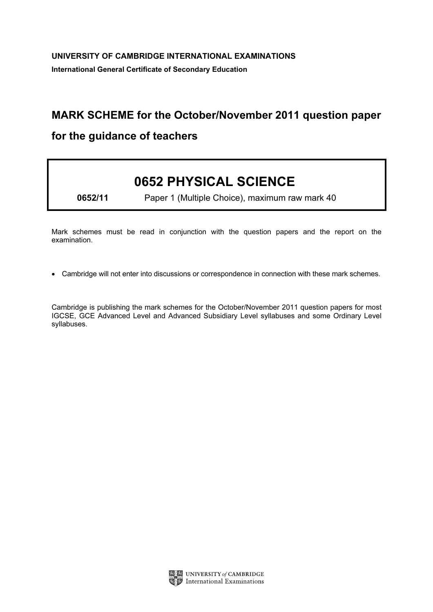## MARK SCHEME for the October/November 2011 question paper

## for the guidance of teachers

## 0652 PHYSICAL SCIENCE

0652/11 Paper 1 (Multiple Choice), maximum raw mark 40

Mark schemes must be read in conjunction with the question papers and the report on the examination.

*•* Cambridge will not enter into discussions or correspondence in connection with these mark schemes.

Cambridge is publishing the mark schemes for the October/November 2011 question papers for most IGCSE, GCE Advanced Level and Advanced Subsidiary Level syllabuses and some Ordinary Level syllabuses.